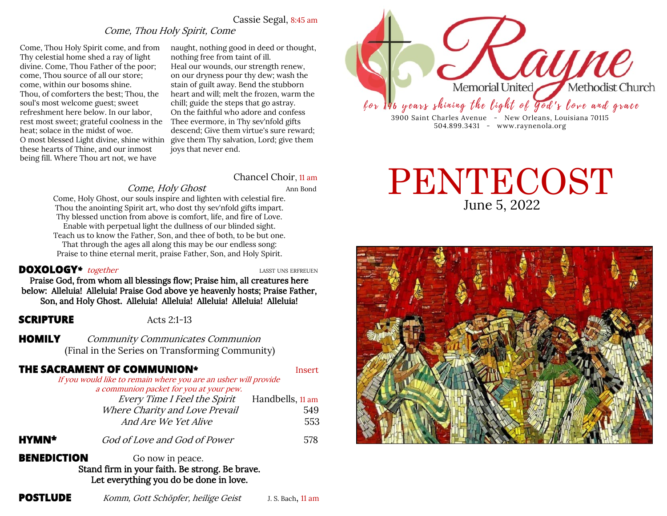# Cassie Segal, 8:45 am

# Come, Thou Holy Spirit, Come

Come, Thou Holy Spirit come, and from Thy celestial home shed a ray of light divine. Come, Thou Father of the poor; come, Thou source of all our store; come, within our bosoms shine. Thou, of comforters the best; Thou, the soul's most welcome guest; sweet refreshment here below. In our labor, rest most sweet; grateful coolness in the Thee evermore, in Thy sev'nfold gifts heat; solace in the midst of woe. O most blessed Light divine, shine within give them Thy salvation, Lord; give them these hearts of Thine, and our inmost being fill. Where Thou art not, we have

naught, nothing good in deed or thought, nothing free from taint of ill. Heal our wounds, our strength renew, on our dryness pour thy dew; wash the stain of guilt away. Bend the stubborn heart and will; melt the frozen, warm the chill; guide the steps that go astray. On the faithful who adore and confess descend; Give them virtue's sure reward; joys that never end.

Chancel Choir, 11 am

### Come, Holy Ghost Ann Bond

Come, Holy Ghost, our souls inspire and lighten with celestial fire. Thou the anointing Spirit art, who dost thy sev'nfold gifts impart. Thy blessed unction from above is comfort, life, and fire of Love. Enable with perpetual light the dullness of our blinded sight. Teach us to know the Father, Son, and thee of both, to be but one. That through the ages all along this may be our endless song: Praise to thine eternal merit, praise Father, Son, and Holy Spirit.

### **DOXOLOGY**<sup>\*</sup> together<br> **LASST UNS ERFREUEN**

Praise God, from whom all blessings flow; Praise him, all creatures here below: Alleluia! Alleluia! Praise God above ye heavenly hosts; Praise Father, Son, and Holy Ghost. Alleluia! Alleluia! Alleluia! Alleluia! Alleluia!

### **SCRIPTURE** Acts 2:1-13

**HOMILY** Community Communicates Communion (Final in the Series on Transforming Community)

# **THE SACRAMENT OF COMMUNION<sup>\*</sup> Insert**

If you would like to remain where you are an usher will provide a communion packet for you at your pew.

| Every Time I Feel the Spirit   | Handbells, 11 am |
|--------------------------------|------------------|
| Where Charity and Love Prevail | 549              |
| And Are We Yet Alive           | 553              |

**HYMN\*** God of Love and God of Power 578

**BENEDICTION** Go now in peace. Stand firm in your faith. Be strong. Be brave. Let everything you do be done in love.



# June 5, 2022 PENTECOST

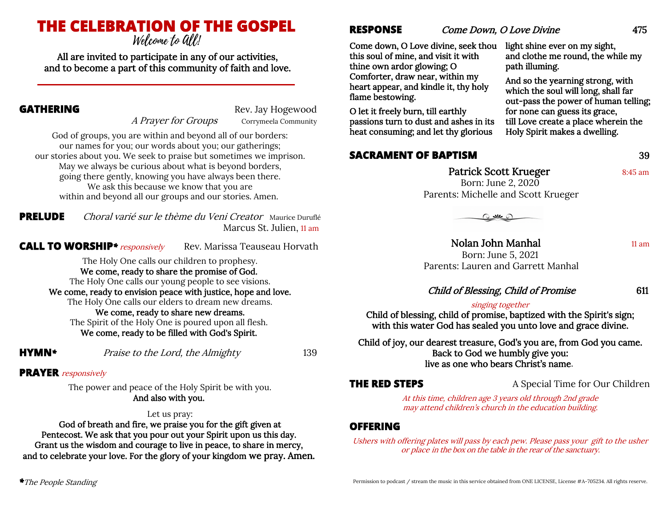# **THE CELEBRATION OF THE GOSPEL**

*Welcome to Gill!* 

All are invited to participate in any of our activities, and to become a part of this community of faith and love.

A Prayer for Groups Corrymeela Community

**GATHERING** Rev. Jay Hogewood

God of groups, you are within and beyond all of our borders: our names for you; our words about you; our gatherings; our stories about you. We seek to praise but sometimes we imprison. May we always be curious about what is beyond borders, going there gently, knowing you have always been there. We ask this because we know that you are within and beyond all our groups and our stories. Amen.

**PRELUDE** Choral varié sur le thème du Veni Creator Maurice Duruflé Marcus St. Julien, 11 am

**CALL TO WORSHIP**\* responsively Rev. Marissa Teauseau Horvath

The Holy One calls our children to prophesy. We come, ready to share the promise of God. The Holy One calls our young people to see visions. We come, ready to envision peace with justice, hope and love. The Holy One calls our elders to dream new dreams. We come, ready to share new dreams. The Spirit of the Holy One is poured upon all flesh. We come, ready to be filled with God's Spirit.

**HYMN***\** Praise to the Lord, the Almighty 139

# **PRAYER** responsively

The power and peace of the Holy Spirit be with you. And also with you.

# Let us pray:

God of breath and fire, we praise you for the gift given at Pentecost. We ask that you pour out your Spirit upon us this day. Grant us the wisdom and courage to live in peace, to share in mercy, and to celebrate your love. For the glory of your kingdom we pray. Amen. **RESPONSE** *Come Down, O Love Divine* 475

Come down, O Love divine, seek thou this soul of mine, and visit it with thine own ardor glowing; O Comforter, draw near, within my heart appear, and kindle it, thy holy flame bestowing.

O let it freely burn, till earthly passions turn to dust and ashes in its heat consuming; and let thy glorious

# **SACRAMENT OF BAPTISM** 39

and clothe me round, the while my path illuming.

And so the yearning strong, with which the soul will long, shall far out-pass the power of human telling; for none can guess its grace, till Love create a place wherein the Holy Spirit makes a dwelling.

light shine ever on my sight,

Patrick Scott Krueger 8:45 am Born: June 2, 2020

Parents: Michelle and Scott Krueger

 $O$   $M$ 

Nolan John Manhal 11 am Born: June 5, 2021 Parents: Lauren and Garrett Manhal

# Child of Blessing, Child of Promise 611

# singing together

Child of blessing, child of promise, baptized with the Spirit's sign; with this water God has sealed you unto love and grace divine.

Child of joy, our dearest treasure, God's you are, from God you came. Back to God we humbly give you: live as one who bears Christ's name.

**THE RED STEPS** A Special Time for Our Children

At this time, children age 3 years old through 2nd grade may attend children's church in the education building.

# **OFFERING**

Ushers with offering plates will pass by each pew. Please pass your gift to the usher or place in the box on the table in the rear of the sanctuary.